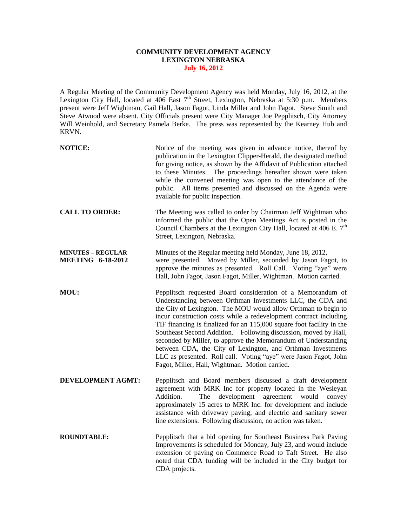## **COMMUNITY DEVELOPMENT AGENCY LEXINGTON NEBRASKA July 16, 2012**

A Regular Meeting of the Community Development Agency was held Monday, July 16, 2012, at the Lexington City Hall, located at 406 East  $7<sup>th</sup>$  Street, Lexington, Nebraska at 5:30 p.m. Members present were Jeff Wightman, Gail Hall, Jason Fagot, Linda Miller and John Fagot. Steve Smith and Steve Atwood were absent. City Officials present were City Manager Joe Pepplitsch, City Attorney Will Weinhold, and Secretary Pamela Berke. The press was represented by the Kearney Hub and KRVN.

| <b>NOTICE:</b>                                       | Notice of the meeting was given in advance notice, thereof by<br>publication in the Lexington Clipper-Herald, the designated method<br>for giving notice, as shown by the Affidavit of Publication attached<br>to these Minutes. The proceedings hereafter shown were taken<br>while the convened meeting was open to the attendance of the<br>public. All items presented and discussed on the Agenda were<br>available for public inspection.                                                                                                                                                                                                                     |
|------------------------------------------------------|---------------------------------------------------------------------------------------------------------------------------------------------------------------------------------------------------------------------------------------------------------------------------------------------------------------------------------------------------------------------------------------------------------------------------------------------------------------------------------------------------------------------------------------------------------------------------------------------------------------------------------------------------------------------|
| <b>CALL TO ORDER:</b>                                | The Meeting was called to order by Chairman Jeff Wightman who<br>informed the public that the Open Meetings Act is posted in the<br>Council Chambers at the Lexington City Hall, located at 406 E. $7th$<br>Street, Lexington, Nebraska.                                                                                                                                                                                                                                                                                                                                                                                                                            |
| <b>MINUTES – REGULAR</b><br><b>MEETING 6-18-2012</b> | Minutes of the Regular meeting held Monday, June 18, 2012,<br>were presented. Moved by Miller, seconded by Jason Fagot, to<br>approve the minutes as presented. Roll Call. Voting "aye" were<br>Hall, John Fagot, Jason Fagot, Miller, Wightman. Motion carried.                                                                                                                                                                                                                                                                                                                                                                                                    |
| MOU:                                                 | Pepplitsch requested Board consideration of a Memorandum of<br>Understanding between Orthman Investments LLC, the CDA and<br>the City of Lexington. The MOU would allow Orthman to begin to<br>incur construction costs while a redevelopment contract including<br>TIF financing is finalized for an 115,000 square foot facility in the<br>Southeast Second Addition. Following discussion, moved by Hall,<br>seconded by Miller, to approve the Memorandum of Understanding<br>between CDA, the City of Lexington, and Orthman Investments<br>LLC as presented. Roll call. Voting "aye" were Jason Fagot, John<br>Fagot, Miller, Hall, Wightman. Motion carried. |
| <b>DEVELOPMENT AGMT:</b>                             | Pepplitsch and Board members discussed a draft development<br>agreement with MRK Inc for property located in the Wesleyan<br>Addition.<br>development<br>agreement would<br>The<br>convey<br>approximately 15 acres to MRK Inc. for development and include<br>assistance with driveway paving, and electric and sanitary sewer<br>line extensions. Following discussion, no action was taken.                                                                                                                                                                                                                                                                      |
| <b>ROUNDTABLE:</b>                                   | Pepplitsch that a bid opening for Southeast Business Park Paving<br>Improvements is scheduled for Monday, July 23, and would include<br>extension of paving on Commerce Road to Taft Street. He also<br>noted that CDA funding will be included in the City budget for                                                                                                                                                                                                                                                                                                                                                                                              |

CDA projects.